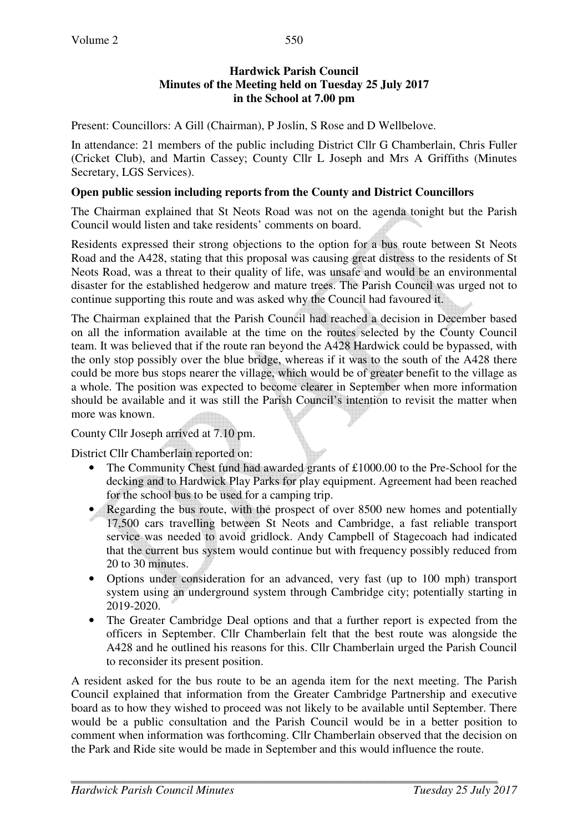#### **Hardwick Parish Council Minutes of the Meeting held on Tuesday 25 July 2017 in the School at 7.00 pm**

Present: Councillors: A Gill (Chairman), P Joslin, S Rose and D Wellbelove.

In attendance: 21 members of the public including District Cllr G Chamberlain, Chris Fuller (Cricket Club), and Martin Cassey; County Cllr L Joseph and Mrs A Griffiths (Minutes Secretary, LGS Services).

#### **Open public session including reports from the County and District Councillors**

The Chairman explained that St Neots Road was not on the agenda tonight but the Parish Council would listen and take residents' comments on board.

Residents expressed their strong objections to the option for a bus route between St Neots Road and the A428, stating that this proposal was causing great distress to the residents of St Neots Road, was a threat to their quality of life, was unsafe and would be an environmental disaster for the established hedgerow and mature trees. The Parish Council was urged not to continue supporting this route and was asked why the Council had favoured it.

The Chairman explained that the Parish Council had reached a decision in December based on all the information available at the time on the routes selected by the County Council team. It was believed that if the route ran beyond the A428 Hardwick could be bypassed, with the only stop possibly over the blue bridge, whereas if it was to the south of the A428 there could be more bus stops nearer the village, which would be of greater benefit to the village as a whole. The position was expected to become clearer in September when more information should be available and it was still the Parish Council's intention to revisit the matter when more was known.

County Cllr Joseph arrived at 7.10 pm.

District Cllr Chamberlain reported on:

- The Community Chest fund had awarded grants of £1000.00 to the Pre-School for the decking and to Hardwick Play Parks for play equipment. Agreement had been reached for the school bus to be used for a camping trip.
- Regarding the bus route, with the prospect of over 8500 new homes and potentially 17,500 cars travelling between St Neots and Cambridge, a fast reliable transport service was needed to avoid gridlock. Andy Campbell of Stagecoach had indicated that the current bus system would continue but with frequency possibly reduced from 20 to 30 minutes.
- Options under consideration for an advanced, very fast (up to 100 mph) transport system using an underground system through Cambridge city; potentially starting in 2019-2020.
- The Greater Cambridge Deal options and that a further report is expected from the officers in September. Cllr Chamberlain felt that the best route was alongside the A428 and he outlined his reasons for this. Cllr Chamberlain urged the Parish Council to reconsider its present position.

A resident asked for the bus route to be an agenda item for the next meeting. The Parish Council explained that information from the Greater Cambridge Partnership and executive board as to how they wished to proceed was not likely to be available until September. There would be a public consultation and the Parish Council would be in a better position to comment when information was forthcoming. Cllr Chamberlain observed that the decision on the Park and Ride site would be made in September and this would influence the route.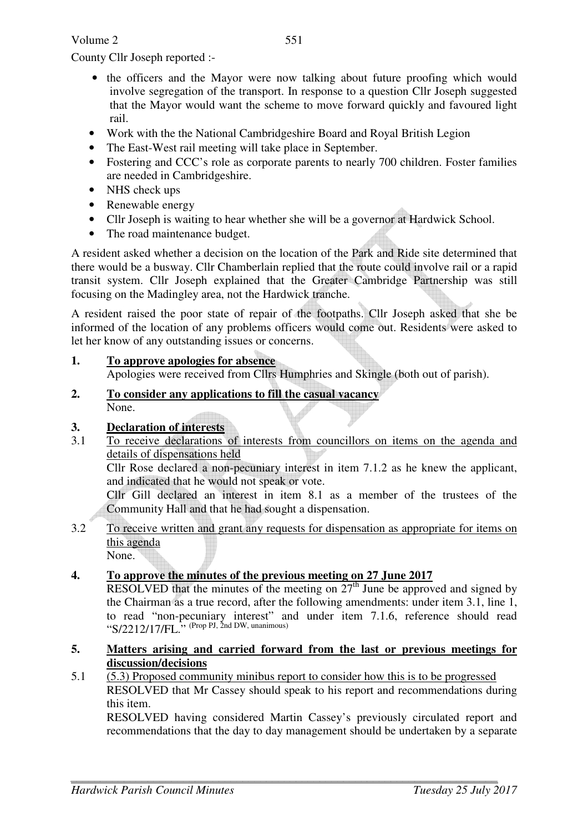Volume 2

County Cllr Joseph reported :-

- the officers and the Mayor were now talking about future proofing which would involve segregation of the transport. In response to a question Cllr Joseph suggested that the Mayor would want the scheme to move forward quickly and favoured light rail.
- Work with the the National Cambridgeshire Board and Royal British Legion
- The East-West rail meeting will take place in September.
- Fostering and CCC's role as corporate parents to nearly 700 children. Foster families are needed in Cambridgeshire.
- NHS check ups
- Renewable energy
- Cllr Joseph is waiting to hear whether she will be a governor at Hardwick School.
- The road maintenance budget.

A resident asked whether a decision on the location of the Park and Ride site determined that there would be a busway. Cllr Chamberlain replied that the route could involve rail or a rapid transit system. Cllr Joseph explained that the Greater Cambridge Partnership was still focusing on the Madingley area, not the Hardwick tranche.

A resident raised the poor state of repair of the footpaths. Cllr Joseph asked that she be informed of the location of any problems officers would come out. Residents were asked to let her know of any outstanding issues or concerns.

- **1. To approve apologies for absence** Apologies were received from Cllrs Humphries and Skingle (both out of parish).
- **2. To consider any applications to fill the casual vacancy** None.

## **3. Declaration of interests**

3.1 To receive declarations of interests from councillors on items on the agenda and details of dispensations held

Cllr Rose declared a non-pecuniary interest in item 7.1.2 as he knew the applicant, and indicated that he would not speak or vote.

Cllr Gill declared an interest in item 8.1 as a member of the trustees of the Community Hall and that he had sought a dispensation.

3.2 To receive written and grant any requests for dispensation as appropriate for items on this agenda None.

**4. To approve the minutes of the previous meeting on 27 June 2017** 

RESOLVED that the minutes of the meeting on  $27<sup>th</sup>$  June be approved and signed by the Chairman as a true record, after the following amendments: under item 3.1, line 1, to read "non-pecuniary interest" and under item 7.1.6, reference should read " $S/2212/17/FL$ ." (Prop PJ, 2nd DW, unanimous)

#### **5. Matters arising and carried forward from the last or previous meetings for discussion/decisions**

5.1 (5.3) Proposed community minibus report to consider how this is to be progressed RESOLVED that Mr Cassey should speak to his report and recommendations during this item.

RESOLVED having considered Martin Cassey's previously circulated report and recommendations that the day to day management should be undertaken by a separate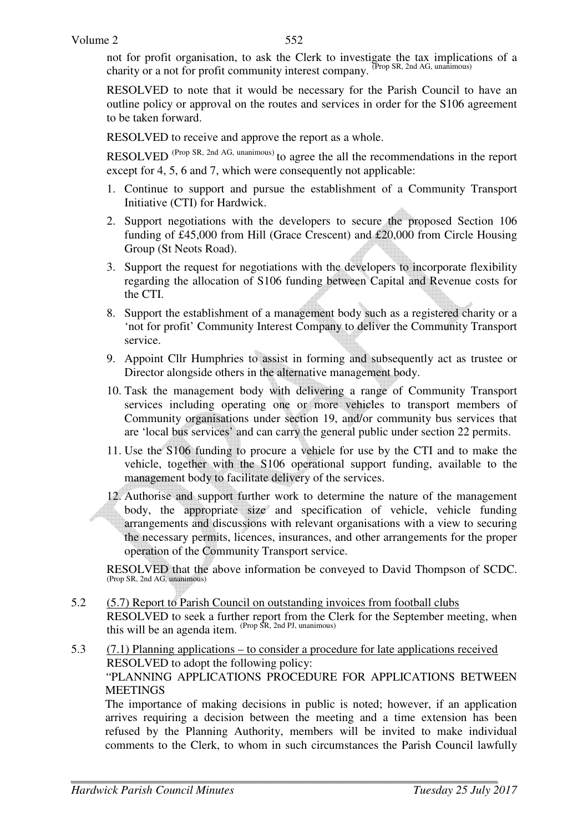not for profit organisation, to ask the Clerk to investigate the tax implications of a charity or a not for profit community interest company. (Prop SR, 2nd AG, unanimous)

RESOLVED to note that it would be necessary for the Parish Council to have an outline policy or approval on the routes and services in order for the S106 agreement to be taken forward.

RESOLVED to receive and approve the report as a whole.

RESOLVED<sup>(Prop SR, 2nd AG, unanimous)</sup> to agree the all the recommendations in the report except for 4, 5, 6 and 7, which were consequently not applicable:

- 1. Continue to support and pursue the establishment of a Community Transport Initiative (CTI) for Hardwick.
- 2. Support negotiations with the developers to secure the proposed Section 106 funding of £45,000 from Hill (Grace Crescent) and £20,000 from Circle Housing Group (St Neots Road).
- 3. Support the request for negotiations with the developers to incorporate flexibility regarding the allocation of S106 funding between Capital and Revenue costs for the CTI.
- 8. Support the establishment of a management body such as a registered charity or a 'not for profit' Community Interest Company to deliver the Community Transport service.
- 9. Appoint Cllr Humphries to assist in forming and subsequently act as trustee or Director alongside others in the alternative management body.
- 10. Task the management body with delivering a range of Community Transport services including operating one or more vehicles to transport members of Community organisations under section 19, and/or community bus services that are 'local bus services' and can carry the general public under section 22 permits.
- 11. Use the S106 funding to procure a vehicle for use by the CTI and to make the vehicle, together with the S106 operational support funding, available to the management body to facilitate delivery of the services.
- 12. Authorise and support further work to determine the nature of the management body, the appropriate size and specification of vehicle, vehicle funding arrangements and discussions with relevant organisations with a view to securing the necessary permits, licences, insurances, and other arrangements for the proper operation of the Community Transport service.

RESOLVED that the above information be conveyed to David Thompson of SCDC. (Prop SR, 2nd AG, unanimous)

- 5.2 (5.7) Report to Parish Council on outstanding invoices from football clubs RESOLVED to seek a further report from the Clerk for the September meeting, when this will be an agenda item. <sup>(Prop SR, 2nd PJ, unanimous)</sup>
- 5.3 (7.1) Planning applications to consider a procedure for late applications received RESOLVED to adopt the following policy: "PLANNING APPLICATIONS PROCEDURE FOR APPLICATIONS BETWEEN **MEETINGS**

The importance of making decisions in public is noted; however, if an application arrives requiring a decision between the meeting and a time extension has been refused by the Planning Authority, members will be invited to make individual comments to the Clerk, to whom in such circumstances the Parish Council lawfully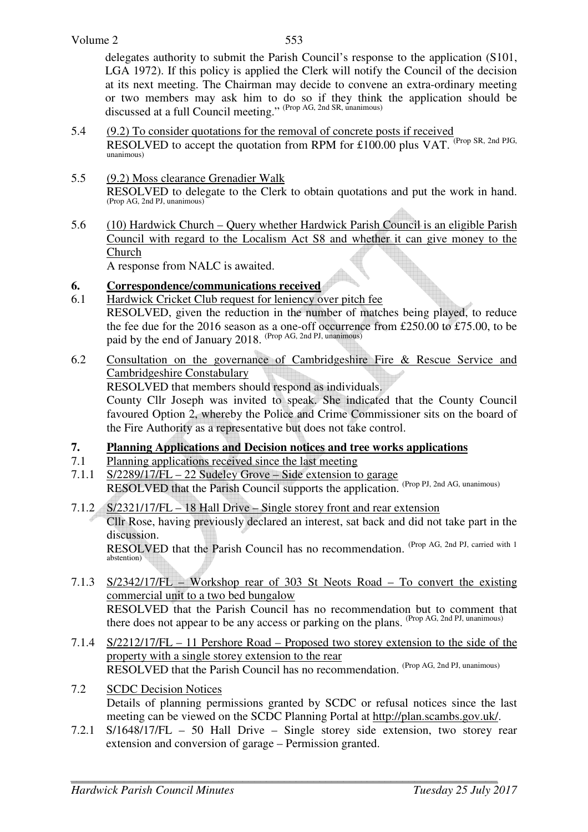delegates authority to submit the Parish Council's response to the application (S101, LGA 1972). If this policy is applied the Clerk will notify the Council of the decision at its next meeting. The Chairman may decide to convene an extra-ordinary meeting or two members may ask him to do so if they think the application should be discussed at a full Council meeting." (Prop AG, 2nd SR, unanimous)

- 5.4 (9.2) To consider quotations for the removal of concrete posts if received RESOLVED to accept the quotation from RPM for £100.00 plus VAT. (Prop SR, 2nd PJG, unanimous)
- 5.5 (9.2) Moss clearance Grenadier Walk RESOLVED to delegate to the Clerk to obtain quotations and put the work in hand. (Prop AG, 2nd PJ, unanimous)
- 5.6 (10) Hardwick Church Query whether Hardwick Parish Council is an eligible Parish Council with regard to the Localism Act S8 and whether it can give money to the Church

A response from NALC is awaited.

- **6. Correspondence/communications received**
- 6.1 Hardwick Cricket Club request for leniency over pitch fee RESOLVED, given the reduction in the number of matches being played, to reduce the fee due for the 2016 season as a one-off occurrence from £250.00 to £75.00, to be paid by the end of January 2018. (Prop AG, 2nd PJ, unanimous)
- 6.2 Consultation on the governance of Cambridgeshire Fire & Rescue Service and Cambridgeshire Constabulary

RESOLVED that members should respond as individuals.

County Cllr Joseph was invited to speak. She indicated that the County Council favoured Option 2, whereby the Police and Crime Commissioner sits on the board of the Fire Authority as a representative but does not take control.

### **7. Planning Applications and Decision notices and tree works applications**

- 7.1 Planning applications received since the last meeting
- 7.1.1 S/2289/17/FL 22 Sudeley Grove Side extension to garage RESOLVED that the Parish Council supports the application. (Prop PJ, 2nd AG, unanimous)
- 7.1.2 S/2321/17/FL 18 Hall Drive Single storey front and rear extension
	- Cllr Rose, having previously declared an interest, sat back and did not take part in the discussion.

RESOLVED that the Parish Council has no recommendation. (Prop AG, 2nd PJ, carried with 1) abstention)

- 7.1.3 S/2342/17/FL Workshop rear of 303 St Neots Road To convert the existing commercial unit to a two bed bungalow RESOLVED that the Parish Council has no recommendation but to comment that there does not appear to be any access or parking on the plans. (Prop AG, 2nd PJ, unanimous)
- 7.1.4 S/2212/17/FL 11 Pershore Road Proposed two storey extension to the side of the property with a single storey extension to the rear RESOLVED that the Parish Council has no recommendation. (Prop AG, 2nd PJ, unanimous)
- 7.2 SCDC Decision Notices Details of planning permissions granted by SCDC or refusal notices since the last meeting can be viewed on the SCDC Planning Portal at http://plan.scambs.gov.uk/.
- 7.2.1 S/1648/17/FL 50 Hall Drive Single storey side extension, two storey rear extension and conversion of garage – Permission granted.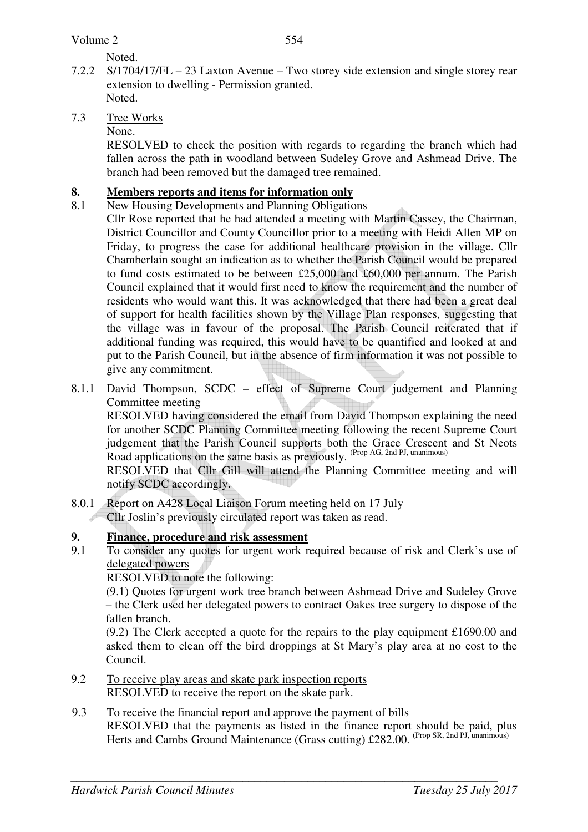Noted.

- 7.2.2 S/1704/17/FL 23 Laxton Avenue Two storey side extension and single storey rear extension to dwelling - Permission granted. Noted.
- 7.3 Tree Works
	- None.

RESOLVED to check the position with regards to regarding the branch which had fallen across the path in woodland between Sudeley Grove and Ashmead Drive. The branch had been removed but the damaged tree remained.

# **8. Members reports and items for information only**<br>**8.1** New Housing Developments and Planning Obligation

- New Housing Developments and Planning Obligations
	- Cllr Rose reported that he had attended a meeting with Martin Cassey, the Chairman, District Councillor and County Councillor prior to a meeting with Heidi Allen MP on Friday, to progress the case for additional healthcare provision in the village. Cllr Chamberlain sought an indication as to whether the Parish Council would be prepared to fund costs estimated to be between £25,000 and £60,000 per annum. The Parish Council explained that it would first need to know the requirement and the number of residents who would want this. It was acknowledged that there had been a great deal of support for health facilities shown by the Village Plan responses, suggesting that the village was in favour of the proposal. The Parish Council reiterated that if additional funding was required, this would have to be quantified and looked at and put to the Parish Council, but in the absence of firm information it was not possible to give any commitment.
- 8.1.1 David Thompson, SCDC effect of Supreme Court judgement and Planning Committee meeting

 RESOLVED having considered the email from David Thompson explaining the need for another SCDC Planning Committee meeting following the recent Supreme Court judgement that the Parish Council supports both the Grace Crescent and St Neots Road applications on the same basis as previously. (Prop AG, 2nd PJ, unanimous)

RESOLVED that Cllr Gill will attend the Planning Committee meeting and will notify SCDC accordingly.

8.0.1 Report on A428 Local Liaison Forum meeting held on 17 July Cllr Joslin's previously circulated report was taken as read.

## **9. Finance, procedure and risk assessment**

9.1 To consider any quotes for urgent work required because of risk and Clerk's use of delegated powers

RESOLVED to note the following:

 (9.1) Quotes for urgent work tree branch between Ashmead Drive and Sudeley Grove – the Clerk used her delegated powers to contract Oakes tree surgery to dispose of the fallen branch.

(9.2) The Clerk accepted a quote for the repairs to the play equipment £1690.00 and asked them to clean off the bird droppings at St Mary's play area at no cost to the Council.

- 9.2 To receive play areas and skate park inspection reports RESOLVED to receive the report on the skate park.
- 9.3 To receive the financial report and approve the payment of bills RESOLVED that the payments as listed in the finance report should be paid, plus Herts and Cambs Ground Maintenance (Grass cutting) £282.00. (Prop SR, 2nd PJ, unanimous)